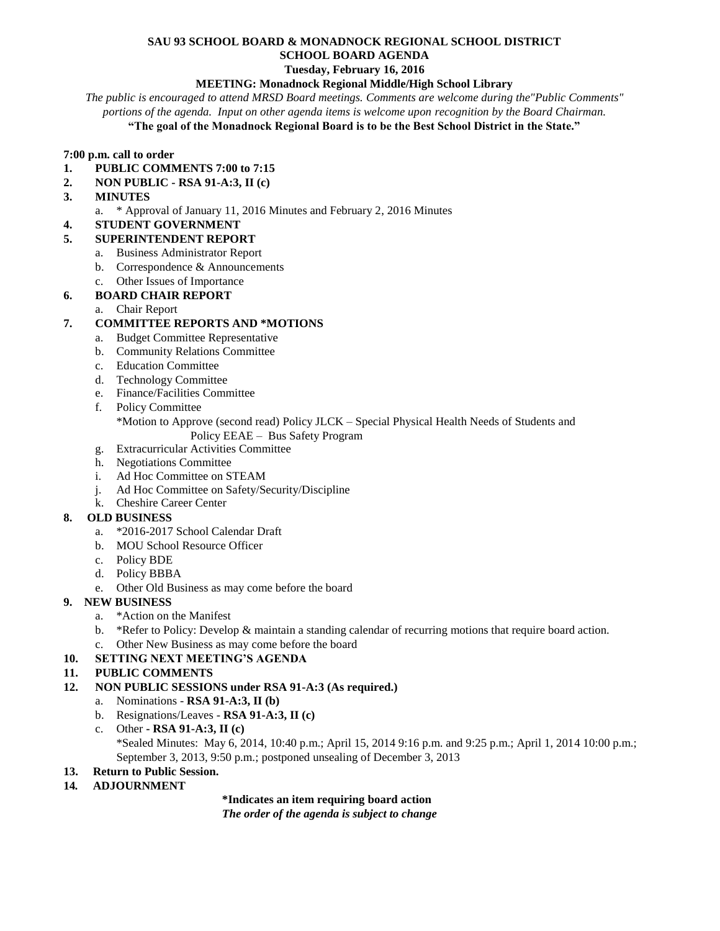### **SAU 93 SCHOOL BOARD & MONADNOCK REGIONAL SCHOOL DISTRICT**

**SCHOOL BOARD AGENDA**

# **Tuesday, February 16, 2016**

# **MEETING: Monadnock Regional Middle/High School Library**

*The public is encouraged to attend MRSD Board meetings. Comments are welcome during the"Public Comments" portions of the agenda. Input on other agenda items is welcome upon recognition by the Board Chairman.*

#### **"The goal of the Monadnock Regional Board is to be the Best School District in the State."**

#### **7:00 p.m. call to order**

- **1. PUBLIC COMMENTS 7:00 to 7:15**
- **2. NON PUBLIC - RSA 91-A:3, II (c)**

#### **3. MINUTES**

- a. \* Approval of January 11, 2016 Minutes and February 2, 2016 Minutes
- **4. STUDENT GOVERNMENT**

#### **5. SUPERINTENDENT REPORT**

- a. Business Administrator Report
- b. Correspondence & Announcements
- c. Other Issues of Importance

#### **6. BOARD CHAIR REPORT**

a. Chair Report

#### **7. COMMITTEE REPORTS AND \*MOTIONS**

- a. Budget Committee Representative
- b. Community Relations Committee
- c. Education Committee
- d. Technology Committee
- e. Finance/Facilities Committee
- f. Policy Committee
	- \*Motion to Approve (second read) Policy JLCK Special Physical Health Needs of Students and Policy EEAE – Bus Safety Program
- g. Extracurricular Activities Committee
- h. Negotiations Committee
- i. Ad Hoc Committee on STEAM
- j. Ad Hoc Committee on Safety/Security/Discipline
- k. Cheshire Career Center

#### **8. OLD BUSINESS**

- a. \*2016-2017 School Calendar Draft
- b. MOU School Resource Officer
- c. Policy BDE
- d. Policy BBBA
- e. Other Old Business as may come before the board

#### **9. NEW BUSINESS**

- a. \*Action on the Manifest
- b. \*Refer to Policy: Develop & maintain a standing calendar of recurring motions that require board action.
- c. Other New Business as may come before the board

#### **10. SETTING NEXT MEETING'S AGENDA**

#### **11. PUBLIC COMMENTS**

- **12. NON PUBLIC SESSIONS under RSA 91-A:3 (As required.)**
	- a. Nominations **RSA 91-A:3, II (b)**
	- b. Resignations/Leaves **RSA 91-A:3, II (c)**
	- c. Other **- RSA 91-A:3, II (c)** \*Sealed Minutes: May 6, 2014, 10:40 p.m.; April 15, 2014 9:16 p.m. and 9:25 p.m.; April 1, 2014 10:00 p.m.; September 3, 2013, 9:50 p.m.; postponed unsealing of December 3, 2013
- **13. Return to Public Session.**
- **14***.* **ADJOURNMENT**

#### **\*Indicates an item requiring board action**

*The order of the agenda is subject to change*